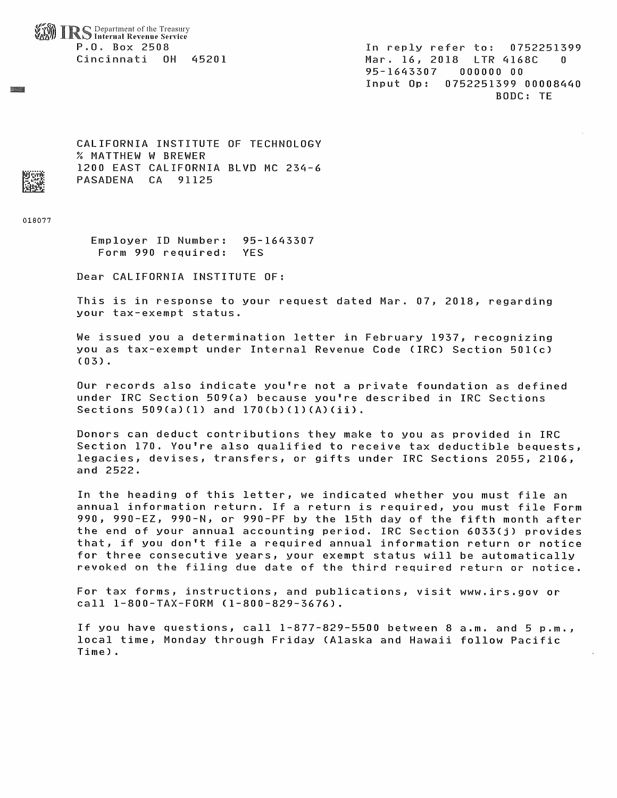Department of the Treasury Internal Revenue Service P.O. Box 2508 Cincinnati OH ^5201

In reply refer to; 0752251399 Mar. 16, 2018 LTR 4168C 0 95-1643307 000000 00 Input Op: 0752251399 00008440 BODC: TE

CALIFORNIA INSTITUTE OF TECHNOLOGY % MATTHEW W BREWER 1200 EAST CALIFORNIA BLVD MC 234-6 PASADENA CA 91125

018077

Employer ID Number: Form 990 required: 95-16^3307 YES

Dear CALIFORNIA INSTITUTE OF:

This is in response to your request dated Mar. 07, 2018, regarding your tax-exempt status.

We issued you a determination letter in February 1937, recognizing you as tax-exempt under Internal Revenue Code (IRC) Section 501(c) (03) .

Our records also indicate you're not a private foundation as defined under IRC Section 509(a) because you're described in IRC Sections Sections  $509(a)(1)$  and  $170(b)(1)(A)(ii)$ .

Donors can deduct contributions they make to you as provided in IRC Section 170. You're also qualified to receive tax deductible bequests, legacies, devises, transfers, or gifts under IRC Sections 2055, 2106, and 2522.

In the heading of this letter, we indicated whether you must file an annual information return. If a return is required, you must file Form 990, 990-EZ, 990-N, or 990-PF by the 15th day of the fifth month after the end of your annual accounting period. IRC Section 6033(j) provides that^ if you don't file a required annual information return or notice for three consecutive years, your exempt status will be automatically revoked on the filing due date of the third required return or notice.

For tax forms, instructions, and publications, visit www.irs.gov or call 1-800-TAX-FORM (1-800-829-3676).

If you have questions, call 1-877-829-5500 between 8 a.m. and 5 p.m local time, Monday through Friday (Alaska and Hawaii follow PacificTime) .